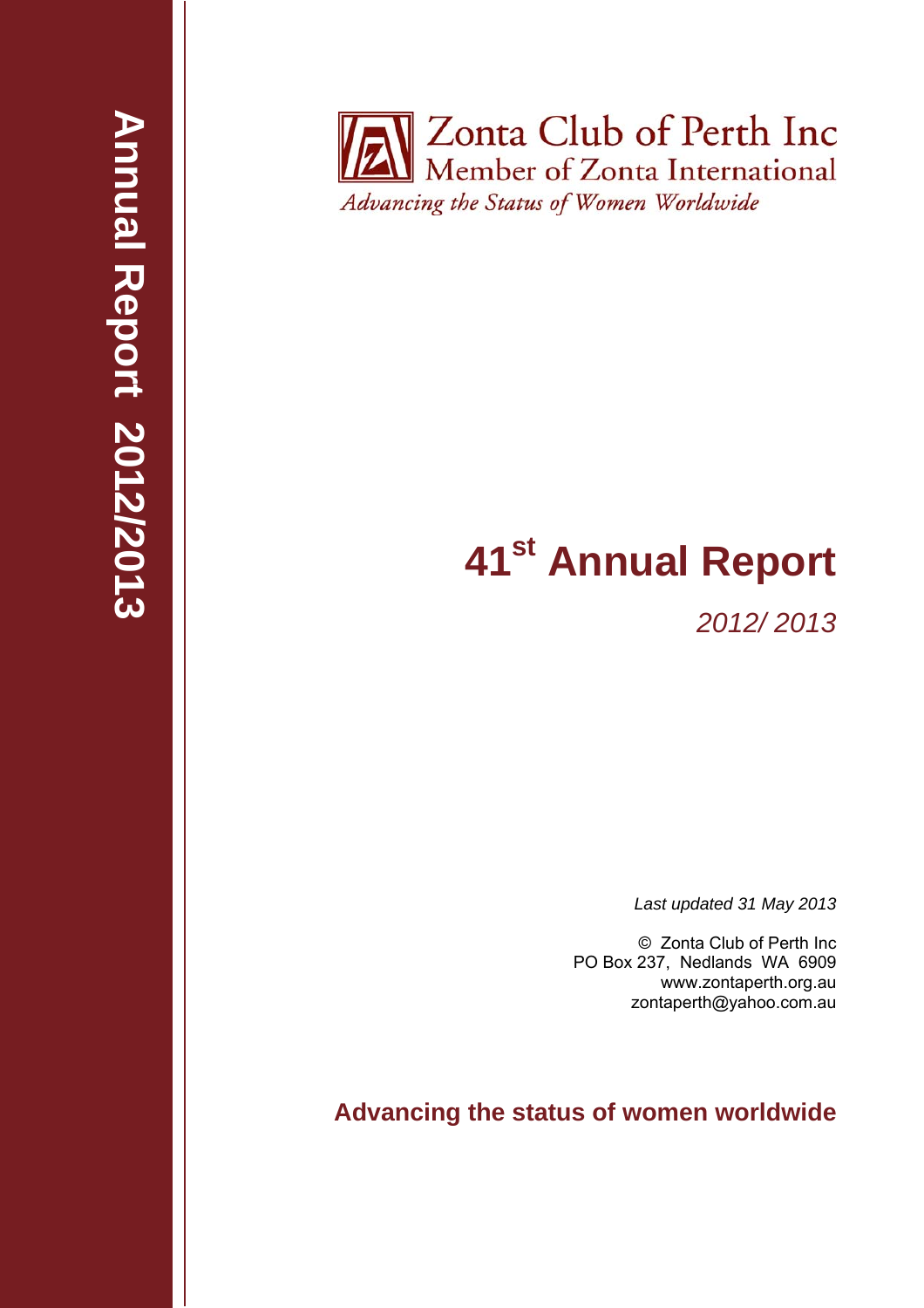**Zonta Club of Perth Inc** Member of Zonta International Advancing the Status of Women Worldwide

# **41st Annual Report**

*2012/ 2013* 

*Last updated 31 May 2013* 

© Zonta Club of Perth Inc PO Box 237, Nedlands WA 6909 www.zontaperth.org.au zontaperth@yahoo.com.au

**Advancing the status of women worldwide**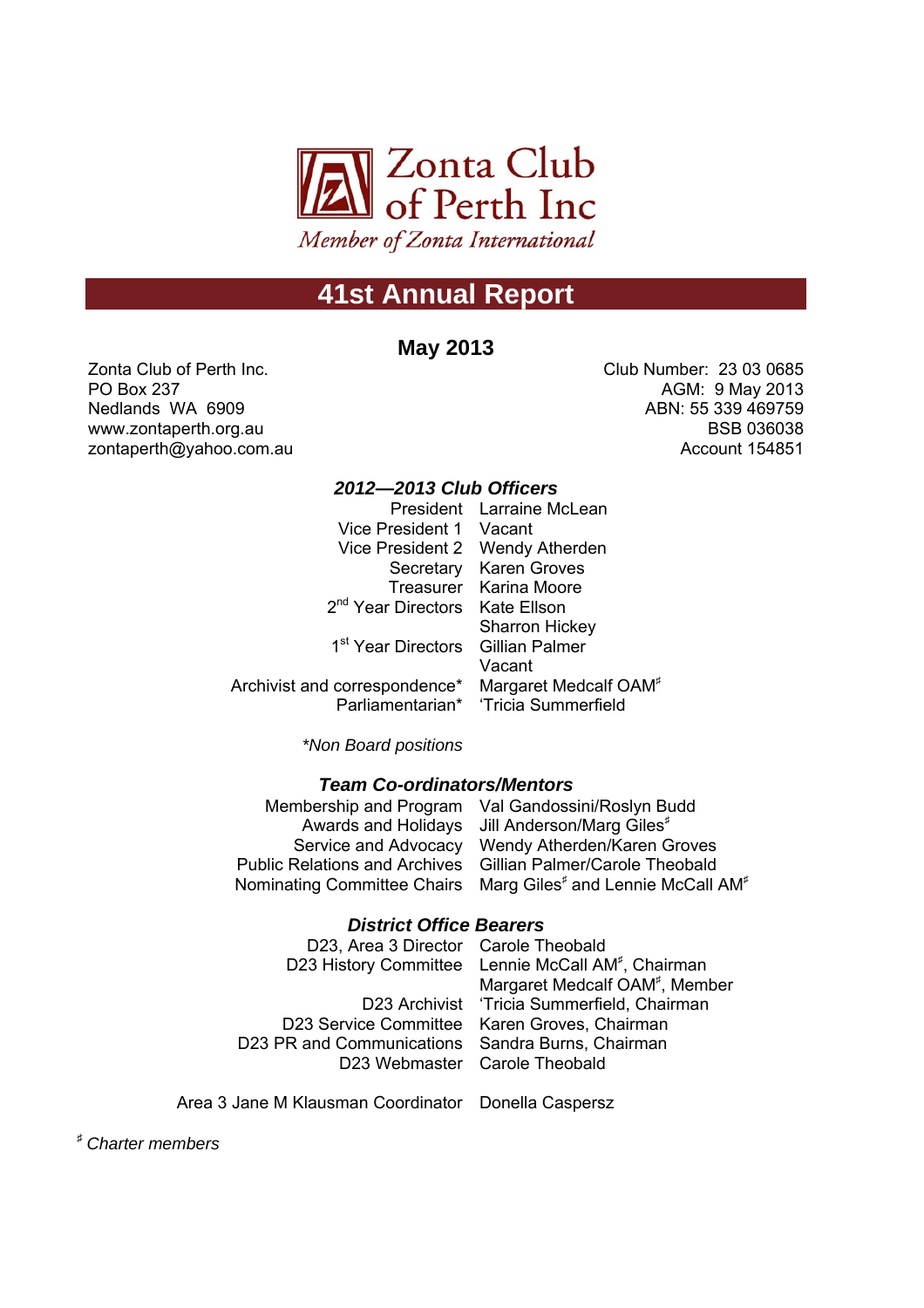

# **41st Annual Report**

## **May 2013**

Zonta Club of Perth Inc. PO Box 237 Nedlands WA 6909 www.zontaperth.org.au zontaperth@yahoo.com.au Club Number: 23 03 0685 AGM: 9 May 2013 ABN: 55 339 469759 BSB 036038 Account 154851

### *2012—2013 Club Officers*

|                                                                 | President Larraine McLean            |
|-----------------------------------------------------------------|--------------------------------------|
| Vice President 1 Vacant                                         |                                      |
|                                                                 | Vice President 2 Wendy Atherden      |
|                                                                 | Secretary Karen Groves               |
|                                                                 | Treasurer Karina Moore               |
| 2 <sup>nd</sup> Year Directors Kate Ellson                      |                                      |
|                                                                 | <b>Sharron Hickey</b>                |
| 1 <sup>st</sup> Year Directors Gillian Palmer                   |                                      |
|                                                                 | Vacant                               |
| Archivist and correspondence* Margaret Medcalf OAM <sup>*</sup> |                                      |
|                                                                 | Parliamentarian* 'Tricia Summerfield |

*\*Non Board positions*

#### *Team Co-ordinators/Mentors*

|                      | Membership and Program Val Gandossini/Roslyn Budd                                     |
|----------------------|---------------------------------------------------------------------------------------|
|                      | Awards and Holidays Jill Anderson/Marg Giles <sup>#</sup>                             |
| Service and Advocacy | Wendy Atherden/Karen Groves                                                           |
|                      | Public Relations and Archives Gillian Palmer/Carole Theobald                          |
|                      | Nominating Committee Chairs Marg Giles <sup>#</sup> and Lennie McCall AM <sup>#</sup> |
|                      |                                                                                       |

#### *District Office Bearers*

| D23, Area 3 Director Carole Theobald             |                                                                |
|--------------------------------------------------|----------------------------------------------------------------|
|                                                  | D23 History Committee Lennie McCall AM <sup>#</sup> , Chairman |
|                                                  | Margaret Medcalf OAM <sup>#</sup> , Member                     |
|                                                  | D23 Archivist 'Tricia Summerfield, Chairman                    |
|                                                  | D23 Service Committee Karen Groves, Chairman                   |
| D23 PR and Communications Sandra Burns, Chairman |                                                                |
|                                                  | D23 Webmaster Carole Theobald                                  |
|                                                  |                                                                |

Area 3 Jane M Klausman Coordinator Donella Caspersz

<sup>♯</sup> *Charter members*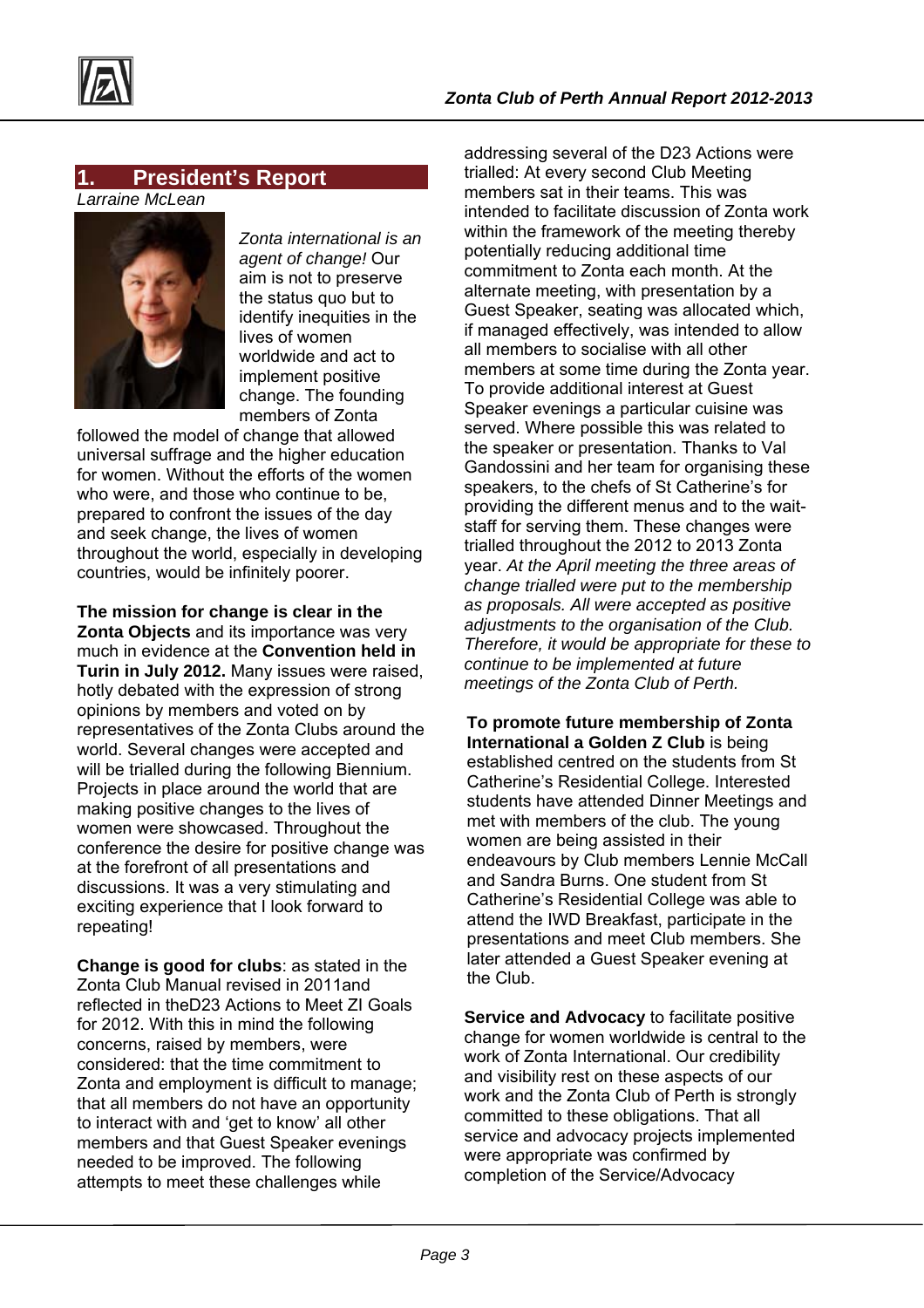

## **1. President's Report**

*Larraine McLean* 



*Zonta international is an agent of change!* Our aim is not to preserve the status quo but to identify inequities in the lives of women worldwide and act to implement positive change. The founding members of Zonta

followed the model of change that allowed universal suffrage and the higher education for women. Without the efforts of the women who were, and those who continue to be, prepared to confront the issues of the day and seek change, the lives of women throughout the world, especially in developing countries, would be infinitely poorer.

**The mission for change is clear in the Zonta Objects** and its importance was very much in evidence at the **Convention held in Turin in July 2012.** Many issues were raised, hotly debated with the expression of strong opinions by members and voted on by representatives of the Zonta Clubs around the world. Several changes were accepted and will be trialled during the following Biennium. Projects in place around the world that are making positive changes to the lives of women were showcased. Throughout the conference the desire for positive change was at the forefront of all presentations and discussions. It was a very stimulating and exciting experience that I look forward to repeating!

**Change is good for clubs**: as stated in the Zonta Club Manual revised in 2011and reflected in theD23 Actions to Meet ZI Goals for 2012. With this in mind the following concerns, raised by members, were considered: that the time commitment to Zonta and employment is difficult to manage; that all members do not have an opportunity to interact with and 'get to know' all other members and that Guest Speaker evenings needed to be improved. The following attempts to meet these challenges while

addressing several of the D23 Actions were trialled: At every second Club Meeting members sat in their teams. This was intended to facilitate discussion of Zonta work within the framework of the meeting thereby potentially reducing additional time commitment to Zonta each month. At the alternate meeting, with presentation by a Guest Speaker, seating was allocated which, if managed effectively, was intended to allow all members to socialise with all other members at some time during the Zonta year. To provide additional interest at Guest Speaker evenings a particular cuisine was served. Where possible this was related to the speaker or presentation. Thanks to Val Gandossini and her team for organising these speakers, to the chefs of St Catherine's for providing the different menus and to the waitstaff for serving them. These changes were trialled throughout the 2012 to 2013 Zonta year. *At the April meeting the three areas of change trialled were put to the membership as proposals. All were accepted as positive adjustments to the organisation of the Club. Therefore, it would be appropriate for these to continue to be implemented at future meetings of the Zonta Club of Perth.* 

**To promote future membership of Zonta International a Golden Z Club** is being established centred on the students from St Catherine's Residential College. Interested students have attended Dinner Meetings and met with members of the club. The young women are being assisted in their endeavours by Club members Lennie McCall and Sandra Burns. One student from St Catherine's Residential College was able to attend the IWD Breakfast, participate in the presentations and meet Club members. She later attended a Guest Speaker evening at the Club.

**Service and Advocacy to facilitate positive** change for women worldwide is central to the work of Zonta International. Our credibility and visibility rest on these aspects of our work and the Zonta Club of Perth is strongly committed to these obligations. That all service and advocacy projects implemented were appropriate was confirmed by completion of the Service/Advocacy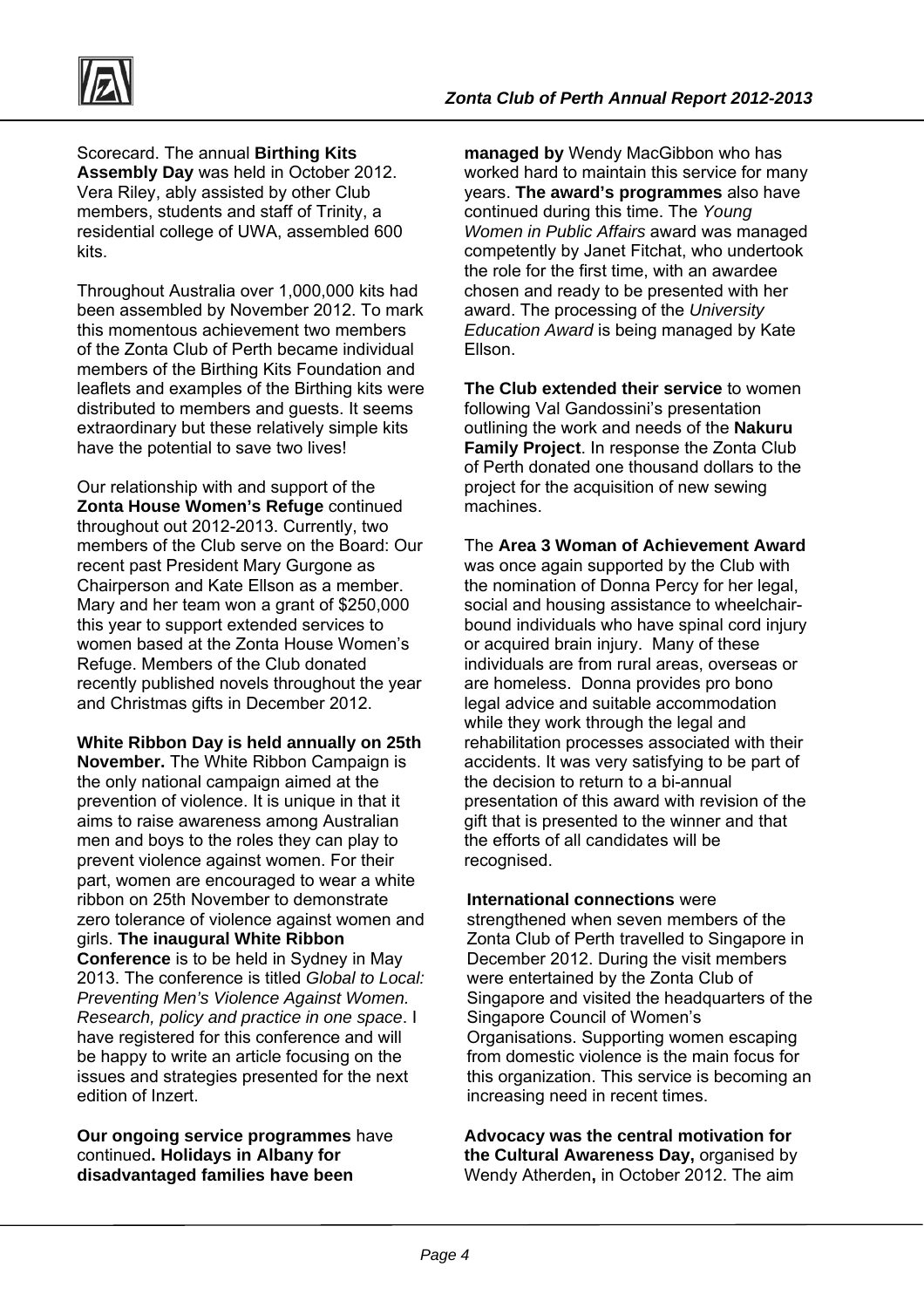

Scorecard. The annual **Birthing Kits Assembly Day** was held in October 2012. Vera Riley, ably assisted by other Club members, students and staff of Trinity, a residential college of UWA, assembled 600 kits.

Throughout Australia over 1,000,000 kits had been assembled by November 2012. To mark this momentous achievement two members of the Zonta Club of Perth became individual members of the Birthing Kits Foundation and leaflets and examples of the Birthing kits were distributed to members and guests. It seems extraordinary but these relatively simple kits have the potential to save two lives!

Our relationship with and support of the **Zonta House Women's Refuge** continued throughout out 2012-2013. Currently, two members of the Club serve on the Board: Our recent past President Mary Gurgone as Chairperson and Kate Ellson as a member. Mary and her team won a grant of \$250,000 this year to support extended services to women based at the Zonta House Women's Refuge. Members of the Club donated recently published novels throughout the year and Christmas gifts in December 2012.

**White Ribbon Day is held annually on 25th November.** The White Ribbon Campaign is the only national campaign aimed at the prevention of violence. It is unique in that it aims to raise awareness among Australian men and boys to the roles they can play to prevent violence against women. For their part, women are encouraged to wear a white ribbon on 25th November to demonstrate zero tolerance of violence against women and girls. **The inaugural White Ribbon Conference** is to be held in Sydney in May 2013. The conference is titled *Global to Local: Preventing Men's Violence Against Women. Research, policy and practice in one space*. I have registered for this conference and will be happy to write an article focusing on the issues and strategies presented for the next edition of Inzert.

**Our ongoing service programmes** have continued**. Holidays in Albany for disadvantaged families have been** 

**managed by** Wendy MacGibbon who has worked hard to maintain this service for many years. **The award's programmes** also have continued during this time. The *Young Women in Public Affairs* award was managed competently by Janet Fitchat, who undertook the role for the first time, with an awardee chosen and ready to be presented with her award. The processing of the *University Education Award* is being managed by Kate Ellson.

**The Club extended their service** to women following Val Gandossini's presentation outlining the work and needs of the **Nakuru Family Project**. In response the Zonta Club of Perth donated one thousand dollars to the project for the acquisition of new sewing machines.

The **Area 3 Woman of Achievement Award** was once again supported by the Club with the nomination of Donna Percy for her legal, social and housing assistance to wheelchairbound individuals who have spinal cord injury or acquired brain injury. Many of these individuals are from rural areas, overseas or are homeless. Donna provides pro bono legal advice and suitable accommodation while they work through the legal and rehabilitation processes associated with their accidents. It was very satisfying to be part of the decision to return to a bi-annual presentation of this award with revision of the gift that is presented to the winner and that the efforts of all candidates will be recognised.

**International connections** were strengthened when seven members of the Zonta Club of Perth travelled to Singapore in December 2012. During the visit members were entertained by the Zonta Club of Singapore and visited the headquarters of the Singapore Council of Women's Organisations. Supporting women escaping from domestic violence is the main focus for this organization. This service is becoming an increasing need in recent times.

**Advocacy was the central motivation for the Cultural Awareness Day,** organised by Wendy Atherden**,** in October 2012. The aim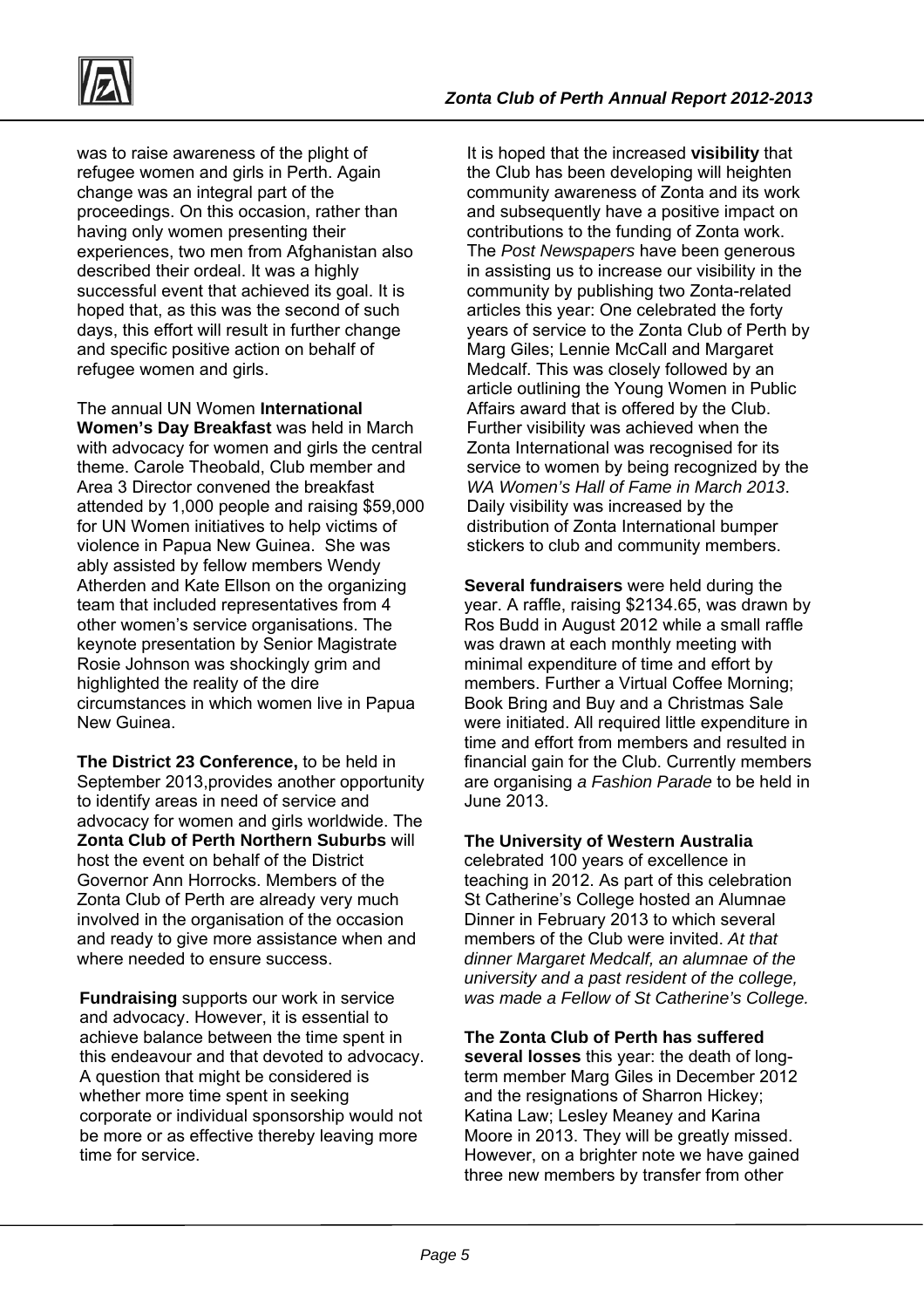

was to raise awareness of the plight of refugee women and girls in Perth. Again change was an integral part of the proceedings. On this occasion, rather than having only women presenting their experiences, two men from Afghanistan also described their ordeal. It was a highly successful event that achieved its goal. It is hoped that, as this was the second of such days, this effort will result in further change and specific positive action on behalf of refugee women and girls.

The annual UN Women **International Women's Day Breakfast** was held in March with advocacy for women and girls the central theme. Carole Theobald, Club member and Area 3 Director convened the breakfast attended by 1,000 people and raising \$59,000 for UN Women initiatives to help victims of violence in Papua New Guinea. She was ably assisted by fellow members Wendy Atherden and Kate Ellson on the organizing team that included representatives from 4 other women's service organisations. The keynote presentation by Senior Magistrate Rosie Johnson was shockingly grim and highlighted the reality of the dire circumstances in which women live in Papua New Guinea.

**The District 23 Conference,** to be held in September 2013,provides another opportunity to identify areas in need of service and advocacy for women and girls worldwide. The **Zonta Club of Perth Northern Suburbs** will host the event on behalf of the District Governor Ann Horrocks. Members of the Zonta Club of Perth are already very much involved in the organisation of the occasion and ready to give more assistance when and where needed to ensure success.

**Fundraising** supports our work in service and advocacy. However, it is essential to achieve balance between the time spent in this endeavour and that devoted to advocacy. A question that might be considered is whether more time spent in seeking corporate or individual sponsorship would not be more or as effective thereby leaving more time for service.

It is hoped that the increased **visibility** that the Club has been developing will heighten community awareness of Zonta and its work and subsequently have a positive impact on contributions to the funding of Zonta work. The *Post Newspapers* have been generous in assisting us to increase our visibility in the community by publishing two Zonta-related articles this year: One celebrated the forty years of service to the Zonta Club of Perth by Marg Giles; Lennie McCall and Margaret Medcalf. This was closely followed by an article outlining the Young Women in Public Affairs award that is offered by the Club. Further visibility was achieved when the Zonta International was recognised for its service to women by being recognized by the *WA Women's Hall of Fame in March 2013*. Daily visibility was increased by the distribution of Zonta International bumper stickers to club and community members.

**Several fundraisers** were held during the year. A raffle, raising \$2134.65, was drawn by Ros Budd in August 2012 while a small raffle was drawn at each monthly meeting with minimal expenditure of time and effort by members. Further a Virtual Coffee Morning; Book Bring and Buy and a Christmas Sale were initiated. All required little expenditure in time and effort from members and resulted in financial gain for the Club. Currently members are organising *a Fashion Parade* to be held in June 2013.

**The University of Western Australia**

celebrated 100 years of excellence in teaching in 2012. As part of this celebration St Catherine's College hosted an Alumnae Dinner in February 2013 to which several members of the Club were invited. *At that dinner Margaret Medcalf, an alumnae of the university and a past resident of the college, was made a Fellow of St Catherine's College.* 

**The Zonta Club of Perth has suffered several losses** this year: the death of longterm member Marg Giles in December 2012 and the resignations of Sharron Hickey; Katina Law; Lesley Meaney and Karina Moore in 2013. They will be greatly missed. However, on a brighter note we have gained three new members by transfer from other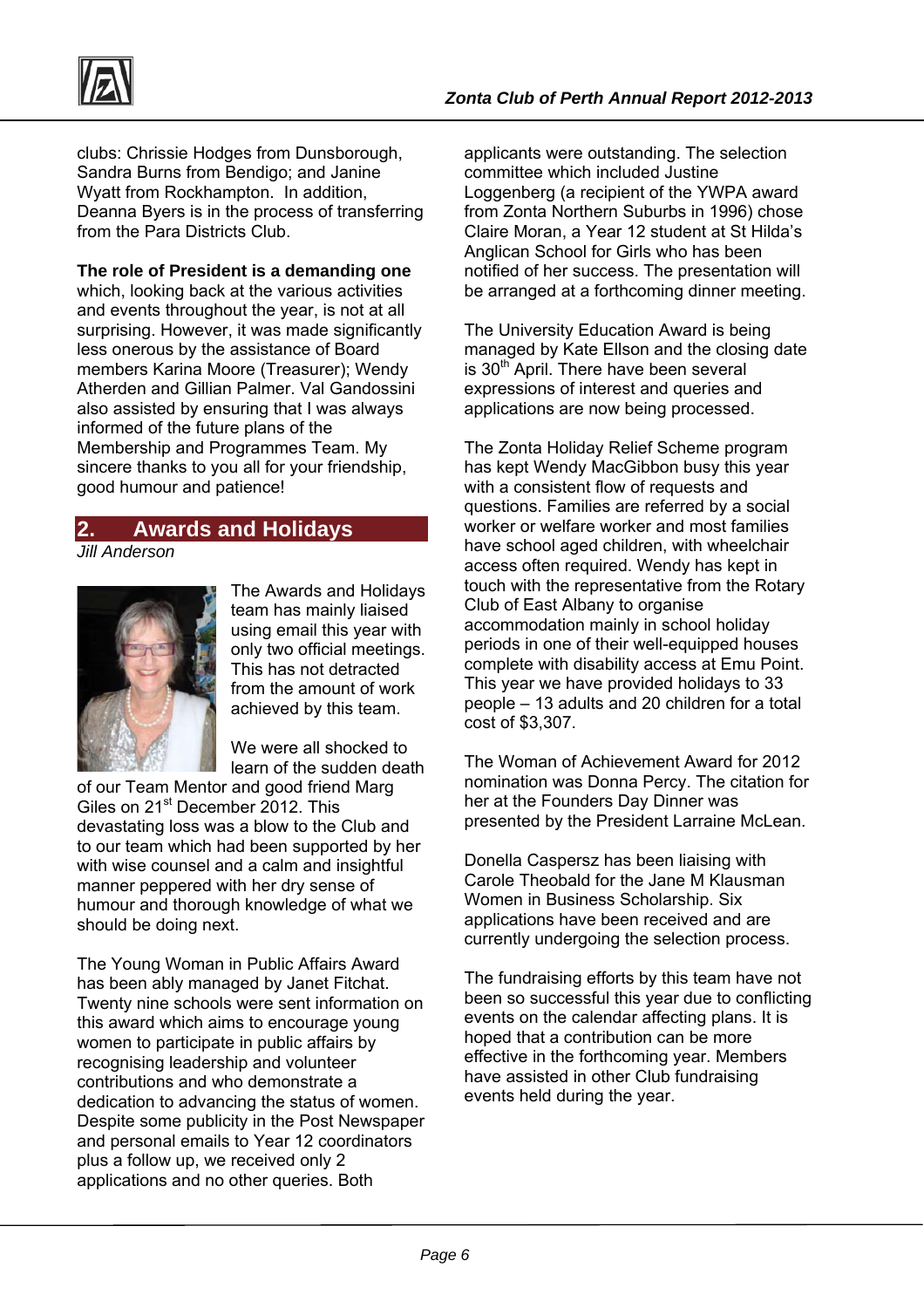

clubs: Chrissie Hodges from Dunsborough, Sandra Burns from Bendigo; and Janine Wyatt from Rockhampton. In addition, Deanna Byers is in the process of transferring from the Para Districts Club.

**The role of President is a demanding one** which, looking back at the various activities and events throughout the year, is not at all surprising. However, it was made significantly less onerous by the assistance of Board members Karina Moore (Treasurer); Wendy Atherden and Gillian Palmer. Val Gandossini also assisted by ensuring that I was always informed of the future plans of the Membership and Programmes Team. My sincere thanks to you all for your friendship, good humour and patience!

# **2. Awards and Holidays**

*Jill Anderson* 



The Awards and Holidays team has mainly liaised using email this year with only two official meetings. This has not detracted from the amount of work achieved by this team.

We were all shocked to learn of the sudden death

of our Team Mentor and good friend Marg Giles on 21<sup>st</sup> December 2012. This devastating loss was a blow to the Club and to our team which had been supported by her with wise counsel and a calm and insightful manner peppered with her dry sense of humour and thorough knowledge of what we should be doing next.

The Young Woman in Public Affairs Award has been ably managed by Janet Fitchat. Twenty nine schools were sent information on this award which aims to encourage young women to participate in public affairs by recognising leadership and volunteer contributions and who demonstrate a dedication to advancing the status of women. Despite some publicity in the Post Newspaper and personal emails to Year 12 coordinators plus a follow up, we received only 2 applications and no other queries. Both

applicants were outstanding. The selection committee which included Justine Loggenberg (a recipient of the YWPA award from Zonta Northern Suburbs in 1996) chose Claire Moran, a Year 12 student at St Hilda's Anglican School for Girls who has been notified of her success. The presentation will be arranged at a forthcoming dinner meeting.

The University Education Award is being managed by Kate Ellson and the closing date is 30<sup>th</sup> April. There have been several expressions of interest and queries and applications are now being processed.

The Zonta Holiday Relief Scheme program has kept Wendy MacGibbon busy this year with a consistent flow of requests and questions. Families are referred by a social worker or welfare worker and most families have school aged children, with wheelchair access often required. Wendy has kept in touch with the representative from the Rotary Club of East Albany to organise accommodation mainly in school holiday periods in one of their well-equipped houses complete with disability access at Emu Point. This year we have provided holidays to 33 people – 13 adults and 20 children for a total cost of \$3,307.

The Woman of Achievement Award for 2012 nomination was Donna Percy. The citation for her at the Founders Day Dinner was presented by the President Larraine McLean.

Donella Caspersz has been liaising with Carole Theobald for the Jane M Klausman Women in Business Scholarship. Six applications have been received and are currently undergoing the selection process.

The fundraising efforts by this team have not been so successful this year due to conflicting events on the calendar affecting plans. It is hoped that a contribution can be more effective in the forthcoming year. Members have assisted in other Club fundraising events held during the year.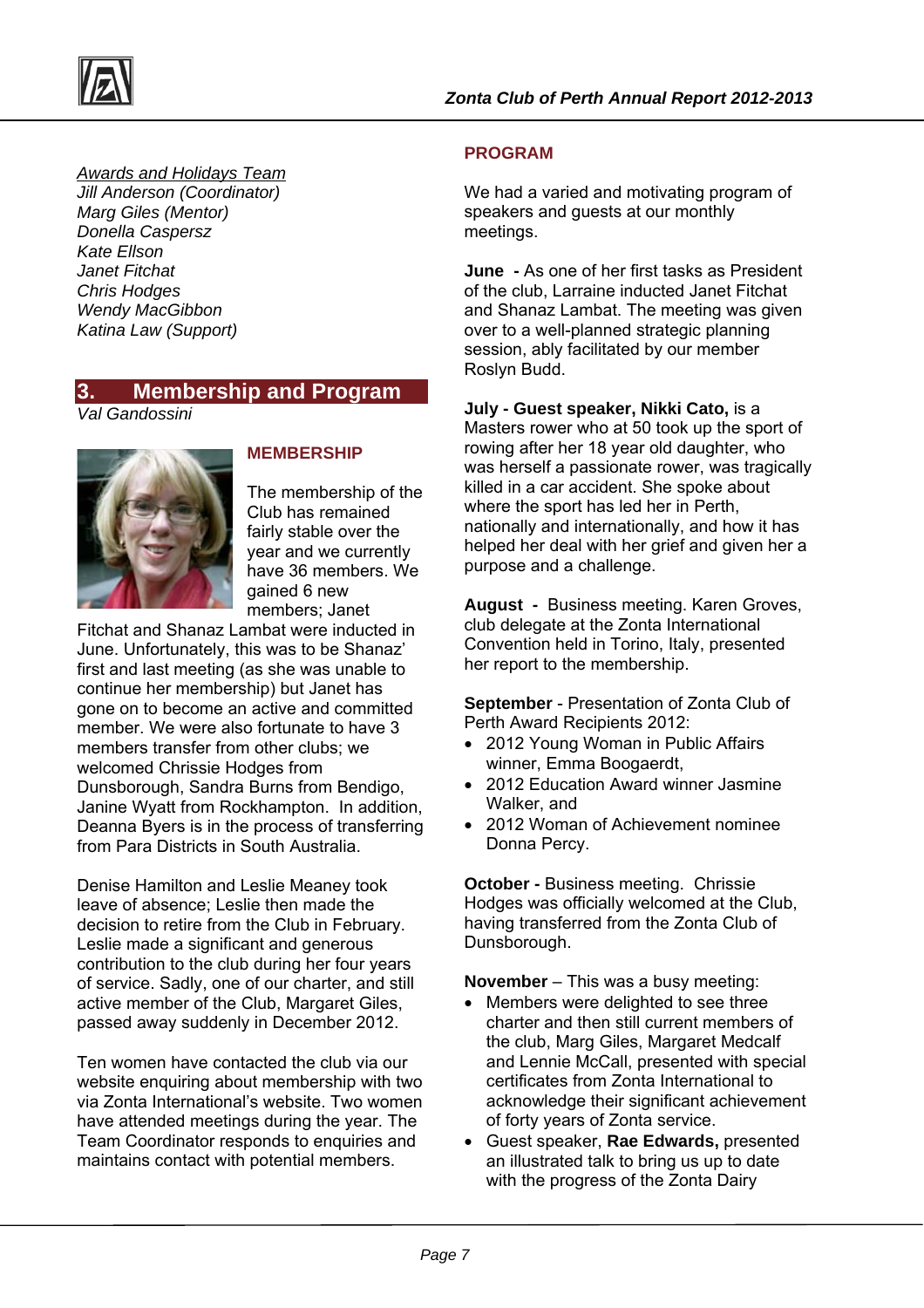



#### *Awards and Holidays Team*

*Jill Anderson (Coordinator) Marg Giles (Mentor) Donella Caspersz Kate Ellson Janet Fitchat Chris Hodges Wendy MacGibbon Katina Law (Support)* 

## **3. Membership and Program**

*Val Gandossini* 



#### **MEMBERSHIP**

The membership of the Club has remained fairly stable over the year and we currently have 36 members. We gained 6 new members; Janet

Fitchat and Shanaz Lambat were inducted in June. Unfortunately, this was to be Shanaz' first and last meeting (as she was unable to continue her membership) but Janet has gone on to become an active and committed member. We were also fortunate to have 3 members transfer from other clubs; we welcomed Chrissie Hodges from Dunsborough, Sandra Burns from Bendigo, Janine Wyatt from Rockhampton. In addition, Deanna Byers is in the process of transferring from Para Districts in South Australia.

Denise Hamilton and Leslie Meaney took leave of absence; Leslie then made the decision to retire from the Club in February. Leslie made a significant and generous contribution to the club during her four years of service. Sadly, one of our charter, and still active member of the Club, Margaret Giles, passed away suddenly in December 2012.

Ten women have contacted the club via our website enquiring about membership with two via Zonta International's website. Two women have attended meetings during the year. The Team Coordinator responds to enquiries and maintains contact with potential members.

### **PROGRAM**

We had a varied and motivating program of speakers and guests at our monthly meetings.

**June -** As one of her first tasks as President of the club, Larraine inducted Janet Fitchat and Shanaz Lambat. The meeting was given over to a well-planned strategic planning session, ably facilitated by our member Roslyn Budd.

**July - Guest speaker, Nikki Cato,** is a Masters rower who at 50 took up the sport of rowing after her 18 year old daughter, who was herself a passionate rower, was tragically killed in a car accident. She spoke about where the sport has led her in Perth, nationally and internationally, and how it has helped her deal with her grief and given her a purpose and a challenge.

**August -** Business meeting. Karen Groves, club delegate at the Zonta International Convention held in Torino, Italy, presented her report to the membership.

**September** - Presentation of Zonta Club of Perth Award Recipients 2012:

- 2012 Young Woman in Public Affairs winner, Emma Boogaerdt,
- 2012 Education Award winner Jasmine Walker, and
- 2012 Woman of Achievement nominee Donna Percy.

**October - Business meeting. Chrissie** Hodges was officially welcomed at the Club, having transferred from the Zonta Club of Dunsborough.

**November** – This was a busy meeting:

- Members were delighted to see three charter and then still current members of the club, Marg Giles, Margaret Medcalf and Lennie McCall, presented with special certificates from Zonta International to acknowledge their significant achievement of forty years of Zonta service.
- Guest speaker, **Rae Edwards,** presented an illustrated talk to bring us up to date with the progress of the Zonta Dairy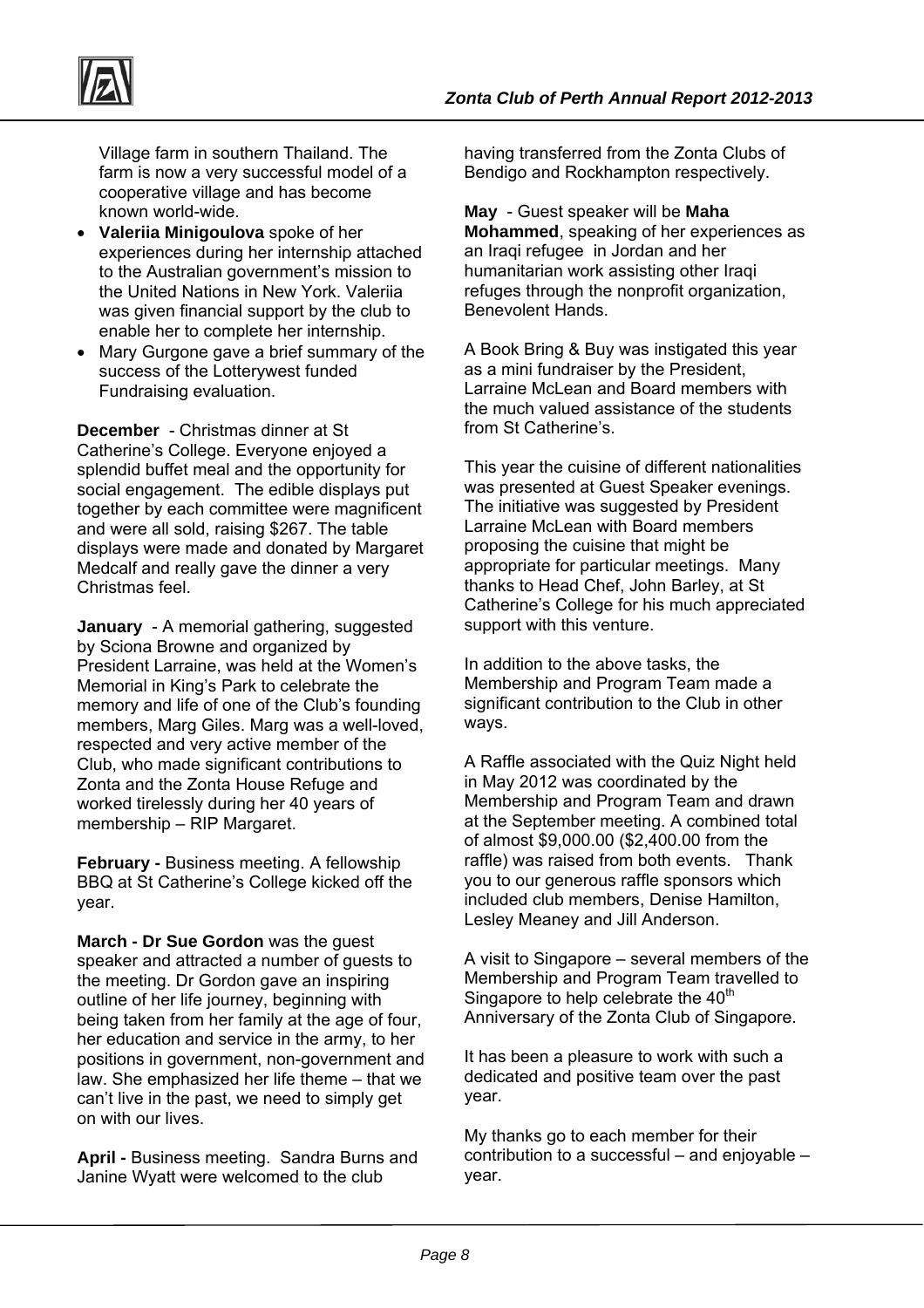

Village farm in southern Thailand. The farm is now a very successful model of a cooperative village and has become known world-wide.

- **Valeriia Minigoulova** spoke of her experiences during her internship attached to the Australian government's mission to the United Nations in New York. Valeriia was given financial support by the club to enable her to complete her internship.
- Mary Gurgone gave a brief summary of the success of the Lotterywest funded Fundraising evaluation.

**December** - Christmas dinner at St Catherine's College. Everyone enjoyed a splendid buffet meal and the opportunity for social engagement. The edible displays put together by each committee were magnificent and were all sold, raising \$267. The table displays were made and donated by Margaret Medcalf and really gave the dinner a very Christmas feel.

**January** - A memorial gathering, suggested by Sciona Browne and organized by President Larraine, was held at the Women's Memorial in King's Park to celebrate the memory and life of one of the Club's founding members, Marg Giles. Marg was a well-loved, respected and very active member of the Club, who made significant contributions to Zonta and the Zonta House Refuge and worked tirelessly during her 40 years of membership – RIP Margaret.

**February - Business meeting. A fellowship** BBQ at St Catherine's College kicked off the year.

**March - Dr Sue Gordon** was the guest speaker and attracted a number of guests to the meeting. Dr Gordon gave an inspiring outline of her life journey, beginning with being taken from her family at the age of four, her education and service in the army, to her positions in government, non-government and law. She emphasized her life theme – that we can't live in the past, we need to simply get on with our lives.

**April -** Business meeting. Sandra Burns and Janine Wyatt were welcomed to the club

having transferred from the Zonta Clubs of Bendigo and Rockhampton respectively.

**May** - Guest speaker will be **Maha Mohammed**, speaking of her experiences as an Iraqi refugee in Jordan and her humanitarian work assisting other Iraqi refuges through the nonprofit organization, Benevolent Hands.

A Book Bring & Buy was instigated this year as a mini fundraiser by the President, Larraine McLean and Board members with the much valued assistance of the students from St Catherine's.

This year the cuisine of different nationalities was presented at Guest Speaker evenings. The initiative was suggested by President Larraine McLean with Board members proposing the cuisine that might be appropriate for particular meetings. Many thanks to Head Chef, John Barley, at St Catherine's College for his much appreciated support with this venture.

In addition to the above tasks, the Membership and Program Team made a significant contribution to the Club in other ways.

A Raffle associated with the Quiz Night held in May 2012 was coordinated by the Membership and Program Team and drawn at the September meeting. A combined total of almost \$9,000.00 (\$2,400.00 from the raffle) was raised from both events. Thank you to our generous raffle sponsors which included club members, Denise Hamilton, Lesley Meaney and Jill Anderson.

A visit to Singapore – several members of the Membership and Program Team travelled to Singapore to help celebrate the  $40<sup>th</sup>$ Anniversary of the Zonta Club of Singapore.

It has been a pleasure to work with such a dedicated and positive team over the past year.

My thanks go to each member for their contribution to a successful – and enjoyable – year.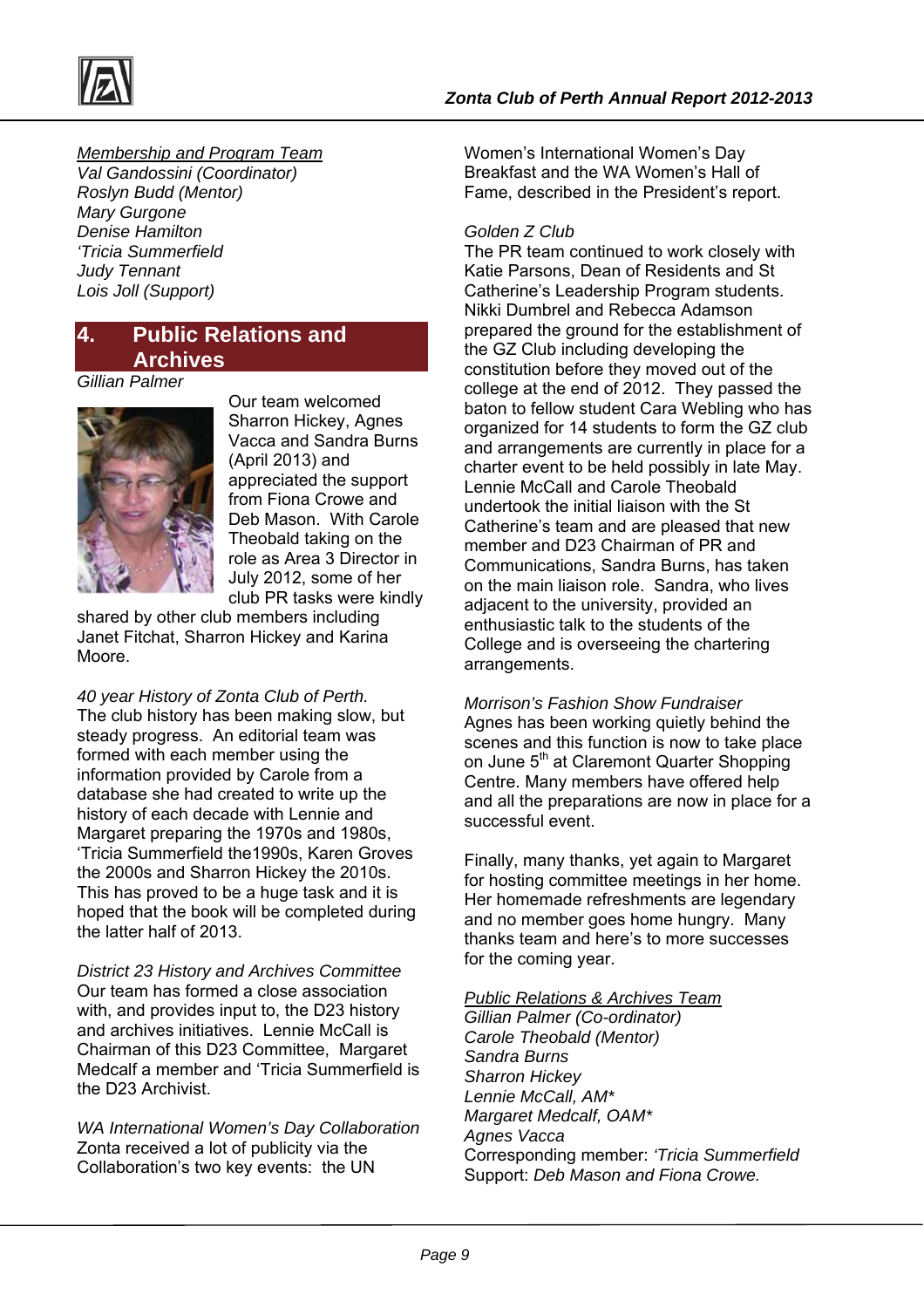

*Membership and Program Team Val Gandossini (Coordinator) Roslyn Budd (Mentor) Mary Gurgone Denise Hamilton 'Tricia Summerfield Judy Tennant Lois Joll (Support)* 

## **4. Public Relations and Archives**

#### *Gillian Palmer*



Our team welcomed Sharron Hickey, Agnes Vacca and Sandra Burns (April 2013) and appreciated the support from Fiona Crowe and Deb Mason. With Carole Theobald taking on the role as Area 3 Director in July 2012, some of her club PR tasks were kindly

shared by other club members including Janet Fitchat, Sharron Hickey and Karina Moore.

*40 year History of Zonta Club of Perth.* 

The club history has been making slow, but steady progress. An editorial team was formed with each member using the information provided by Carole from a database she had created to write up the history of each decade with Lennie and Margaret preparing the 1970s and 1980s, 'Tricia Summerfield the1990s, Karen Groves the 2000s and Sharron Hickey the 2010s. This has proved to be a huge task and it is hoped that the book will be completed during the latter half of 2013.

*District 23 History and Archives Committee*  Our team has formed a close association with, and provides input to, the D23 history and archives initiatives. Lennie McCall is Chairman of this D23 Committee, Margaret Medcalf a member and 'Tricia Summerfield is the D23 Archivist.

*WA International Women's Day Collaboration*  Zonta received a lot of publicity via the Collaboration's two key events: the UN

Women's International Women's Day Breakfast and the WA Women's Hall of Fame, described in the President's report.

#### *Golden Z Club*

The PR team continued to work closely with Katie Parsons, Dean of Residents and St Catherine's Leadership Program students. Nikki Dumbrel and Rebecca Adamson prepared the ground for the establishment of the GZ Club including developing the constitution before they moved out of the college at the end of 2012. They passed the baton to fellow student Cara Webling who has organized for 14 students to form the GZ club and arrangements are currently in place for a charter event to be held possibly in late May. Lennie McCall and Carole Theobald undertook the initial liaison with the St Catherine's team and are pleased that new member and D23 Chairman of PR and Communications, Sandra Burns, has taken on the main liaison role. Sandra, who lives adjacent to the university, provided an enthusiastic talk to the students of the College and is overseeing the chartering arrangements.

*Morrison's Fashion Show Fundraiser*  Agnes has been working quietly behind the scenes and this function is now to take place on June 5<sup>th</sup> at Claremont Quarter Shopping Centre. Many members have offered help and all the preparations are now in place for a successful event.

Finally, many thanks, yet again to Margaret for hosting committee meetings in her home. Her homemade refreshments are legendary and no member goes home hungry. Many thanks team and here's to more successes for the coming year.

#### *Public Relations & Archives Team*

*Gillian Palmer (Co-ordinator) Carole Theobald (Mentor) Sandra Burns Sharron Hickey Lennie McCall, AM\* Margaret Medcalf, OAM\* Agnes Vacca*  Corresponding member: *'Tricia Summerfield*  Support: *Deb Mason and Fiona Crowe.*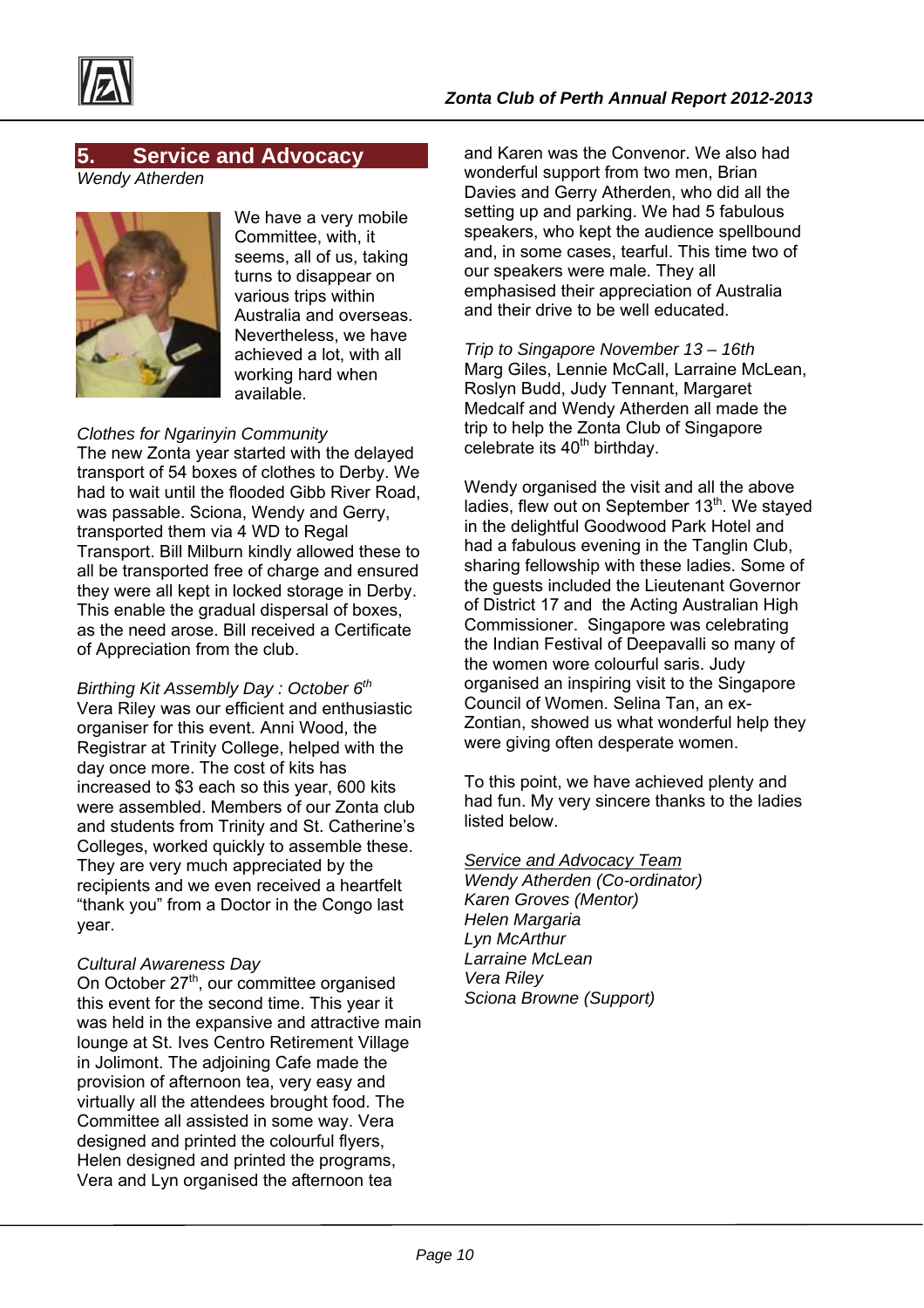

## **5. Service and Advocacy**

*Wendy Atherden* 



We have a very mobile Committee, with, it seems, all of us, taking turns to disappear on various trips within Australia and overseas. Nevertheless, we have achieved a lot, with all working hard when available.

#### *Clothes for Ngarinyin Community*

The new Zonta year started with the delayed transport of 54 boxes of clothes to Derby. We had to wait until the flooded Gibb River Road, was passable. Sciona, Wendy and Gerry, transported them via 4 WD to Regal Transport. Bill Milburn kindly allowed these to all be transported free of charge and ensured they were all kept in locked storage in Derby. This enable the gradual dispersal of boxes, as the need arose. Bill received a Certificate of Appreciation from the club.

*Birthing Kit Assembly Day : October 6th*  Vera Riley was our efficient and enthusiastic organiser for this event. Anni Wood, the Registrar at Trinity College, helped with the day once more. The cost of kits has increased to \$3 each so this year, 600 kits were assembled. Members of our Zonta club and students from Trinity and St. Catherine's Colleges, worked quickly to assemble these. They are very much appreciated by the recipients and we even received a heartfelt "thank you" from a Doctor in the Congo last year.

#### *Cultural Awareness Day*

On October 27<sup>th</sup>, our committee organised this event for the second time. This year it was held in the expansive and attractive main lounge at St. Ives Centro Retirement Village in Jolimont. The adjoining Cafe made the provision of afternoon tea, very easy and virtually all the attendees brought food. The Committee all assisted in some way. Vera designed and printed the colourful flyers, Helen designed and printed the programs, Vera and Lyn organised the afternoon tea

and Karen was the Convenor. We also had wonderful support from two men, Brian Davies and Gerry Atherden, who did all the setting up and parking. We had 5 fabulous speakers, who kept the audience spellbound and, in some cases, tearful. This time two of our speakers were male. They all emphasised their appreciation of Australia and their drive to be well educated.

*Trip to Singapore November 13 – 16th*  Marg Giles, Lennie McCall, Larraine McLean, Roslyn Budd, Judy Tennant, Margaret Medcalf and Wendy Atherden all made the trip to help the Zonta Club of Singapore celebrate its  $40<sup>th</sup>$  birthday.

Wendy organised the visit and all the above ladies, flew out on September 13<sup>th</sup>. We stayed in the delightful Goodwood Park Hotel and had a fabulous evening in the Tanglin Club, sharing fellowship with these ladies. Some of the guests included the Lieutenant Governor of District 17 and the Acting Australian High Commissioner. Singapore was celebrating the Indian Festival of Deepavalli so many of the women wore colourful saris. Judy organised an inspiring visit to the Singapore Council of Women. Selina Tan, an ex-Zontian, showed us what wonderful help they were giving often desperate women.

To this point, we have achieved plenty and had fun. My very sincere thanks to the ladies listed below.

#### *Service and Advocacy Team*

*Wendy Atherden (Co-ordinator) Karen Groves (Mentor) Helen Margaria Lyn McArthur Larraine McLean Vera Riley Sciona Browne (Support)*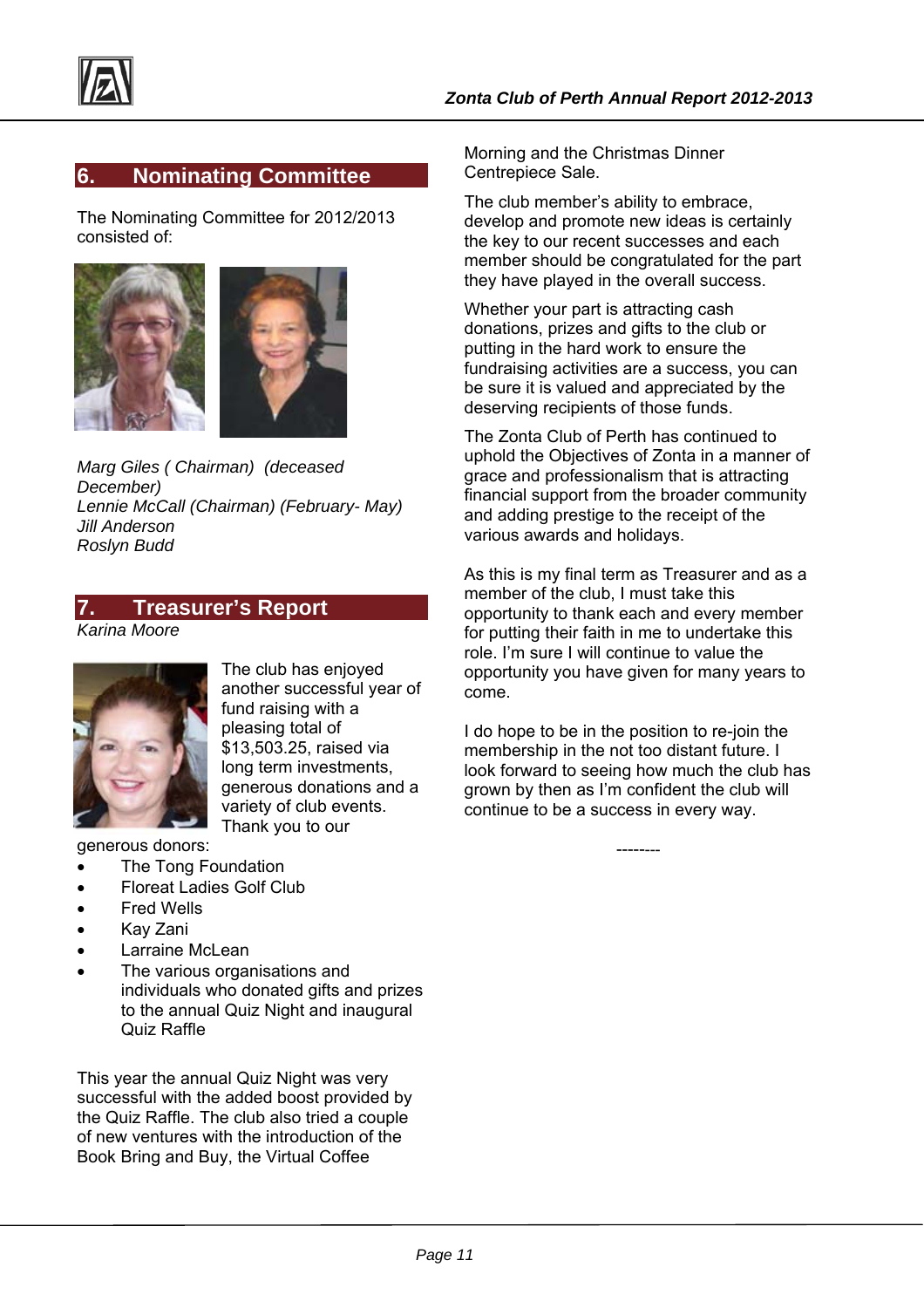## **6. Nominating Committee**

The Nominating Committee for 2012/2013 consisted of:



*Marg Giles ( Chairman) (deceased December) Lennie McCall (Chairman) (February- May) Jill Anderson Roslyn Budd* 

## **7. Treasurer's Report**

*Karina Moore* 



The club has enjoyed another successful year of fund raising with a pleasing total of \$13,503.25, raised via long term investments, generous donations and a variety of club events. Thank you to our

generous donors:

- The Tong Foundation
- Floreat Ladies Golf Club
- Fred Wells
- Kay Zani
- Larraine McLean
- The various organisations and individuals who donated gifts and prizes to the annual Quiz Night and inaugural Quiz Raffle

This year the annual Quiz Night was very successful with the added boost provided by the Quiz Raffle. The club also tried a couple of new ventures with the introduction of the Book Bring and Buy, the Virtual Coffee

Morning and the Christmas Dinner Centrepiece Sale.

The club member's ability to embrace, develop and promote new ideas is certainly the key to our recent successes and each member should be congratulated for the part they have played in the overall success.

Whether your part is attracting cash donations, prizes and gifts to the club or putting in the hard work to ensure the fundraising activities are a success, you can be sure it is valued and appreciated by the deserving recipients of those funds.

The Zonta Club of Perth has continued to uphold the Objectives of Zonta in a manner of grace and professionalism that is attracting financial support from the broader community and adding prestige to the receipt of the various awards and holidays.

As this is my final term as Treasurer and as a member of the club, I must take this opportunity to thank each and every member for putting their faith in me to undertake this role. I'm sure I will continue to value the opportunity you have given for many years to come.

I do hope to be in the position to re-join the membership in the not too distant future. I look forward to seeing how much the club has grown by then as I'm confident the club will continue to be a success in every way.

--------

*Page 11*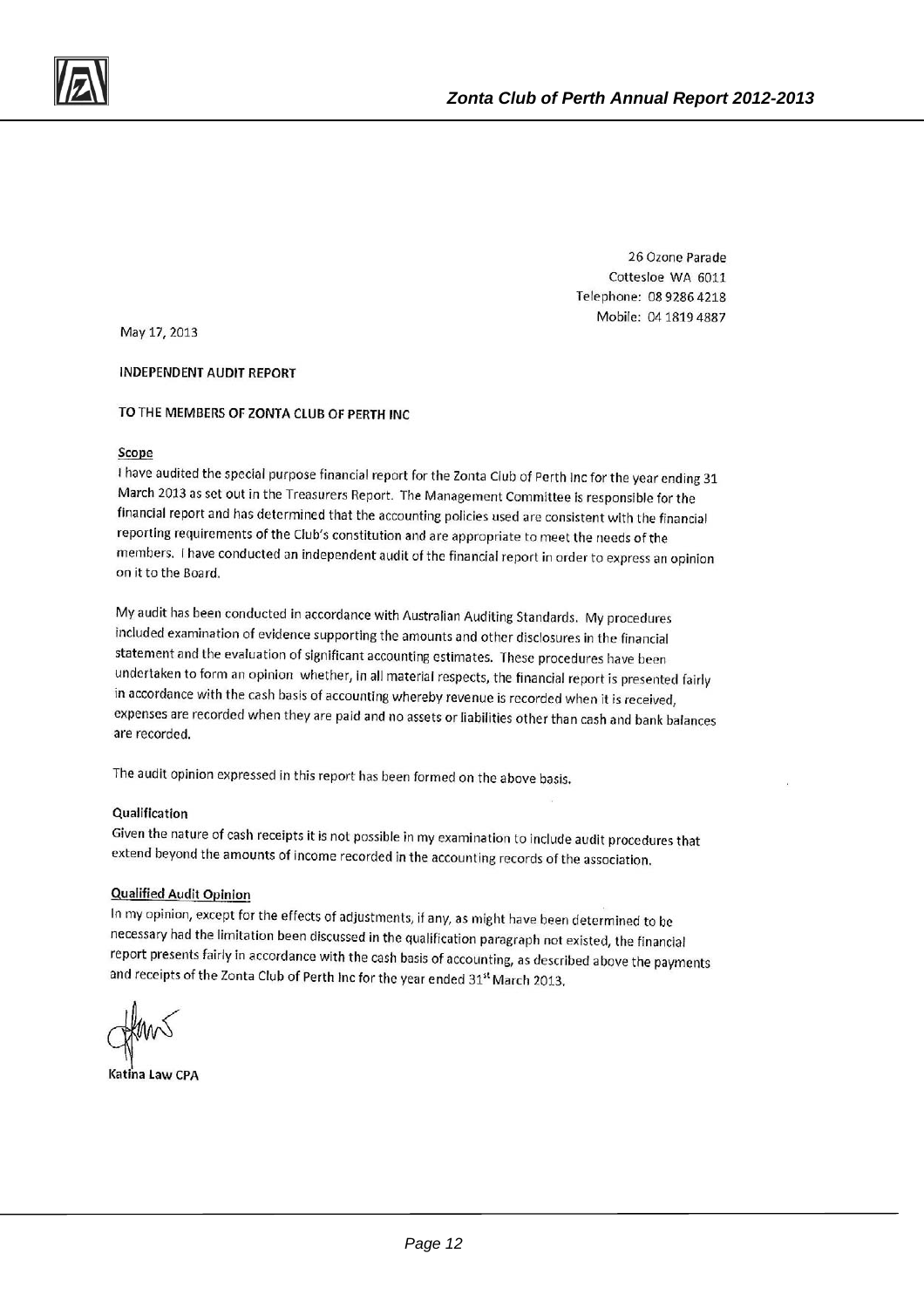26 Ozone Parade Cottesloe WA 6011 Telephone: 08 9286 4218 Mobile: 04 1819 4887

May 17, 2013

**INDEPENDENT AUDIT REPORT** 

#### TO THE MEMBERS OF ZONTA CLUB OF PERTH INC

#### Scope

I have audited the special purpose financial report for the Zonta Club of Perth Inc for the year ending 31 March 2013 as set out in the Treasurers Report. The Management Committee is responsible for the financial report and has determined that the accounting policies used are consistent with the financial reporting requirements of the Club's constitution and are appropriate to meet the needs of the members. I have conducted an independent audit of the financial report in order to express an opinion on it to the Board.

My audit has been conducted in accordance with Australian Auditing Standards. My procedures included examination of evidence supporting the amounts and other disclosures in the financial statement and the evaluation of significant accounting estimates. These procedures have been undertaken to form an opinion whether, in all material respects, the financial report is presented fairly in accordance with the cash basis of accounting whereby revenue is recorded when it is received, expenses are recorded when they are paid and no assets or liabilities other than cash and bank balances are recorded.

The audit opinion expressed in this report has been formed on the above basis.

#### Qualification

Given the nature of cash receipts it is not possible in my examination to include audit procedures that extend beyond the amounts of income recorded in the accounting records of the association.

#### **Qualified Audit Opinion**

In my opinion, except for the effects of adjustments, if any, as might have been determined to be necessary had the limitation been discussed in the qualification paragraph not existed, the financial report presents fairly in accordance with the cash basis of accounting, as described above the payments and receipts of the Zonta Club of Perth Inc for the year ended 31<sup>st</sup> March 2013.

Katina Law CPA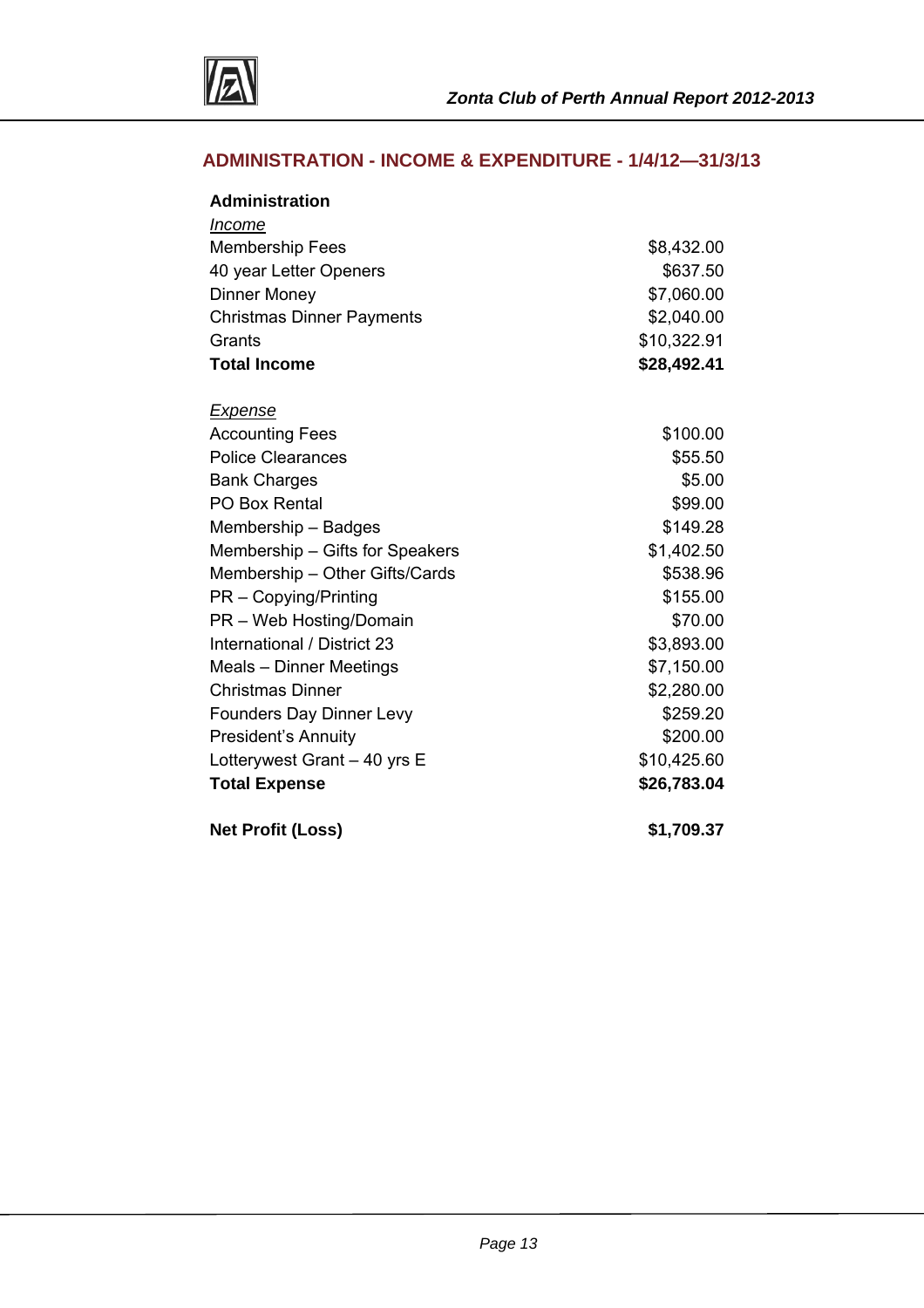

## **ADMINISTRATION - INCOME & EXPENDITURE - 1/4/12—31/3/13**

| <b>Administration</b>            |             |
|----------------------------------|-------------|
| Income                           |             |
| <b>Membership Fees</b>           | \$8,432.00  |
| 40 year Letter Openers           | \$637.50    |
| <b>Dinner Money</b>              | \$7,060.00  |
| <b>Christmas Dinner Payments</b> | \$2,040.00  |
| Grants                           | \$10,322.91 |
| <b>Total Income</b>              | \$28,492.41 |
| <b>Expense</b>                   |             |
| <b>Accounting Fees</b>           | \$100.00    |
| <b>Police Clearances</b>         | \$55.50     |
| <b>Bank Charges</b>              | \$5.00      |
| PO Box Rental                    | \$99.00     |
| Membership - Badges              | \$149.28    |
| Membership - Gifts for Speakers  | \$1,402.50  |
| Membership - Other Gifts/Cards   | \$538.96    |
| PR - Copying/Printing            | \$155.00    |
| PR - Web Hosting/Domain          | \$70.00     |
| International / District 23      | \$3,893.00  |
| Meals - Dinner Meetings          | \$7,150.00  |
| <b>Christmas Dinner</b>          | \$2,280.00  |
| <b>Founders Day Dinner Levy</b>  | \$259.20    |
| <b>President's Annuity</b>       | \$200.00    |
| Lotterywest Grant - 40 yrs E     | \$10,425.60 |
| <b>Total Expense</b>             | \$26,783.04 |
| <b>Net Profit (Loss)</b>         | \$1,709.37  |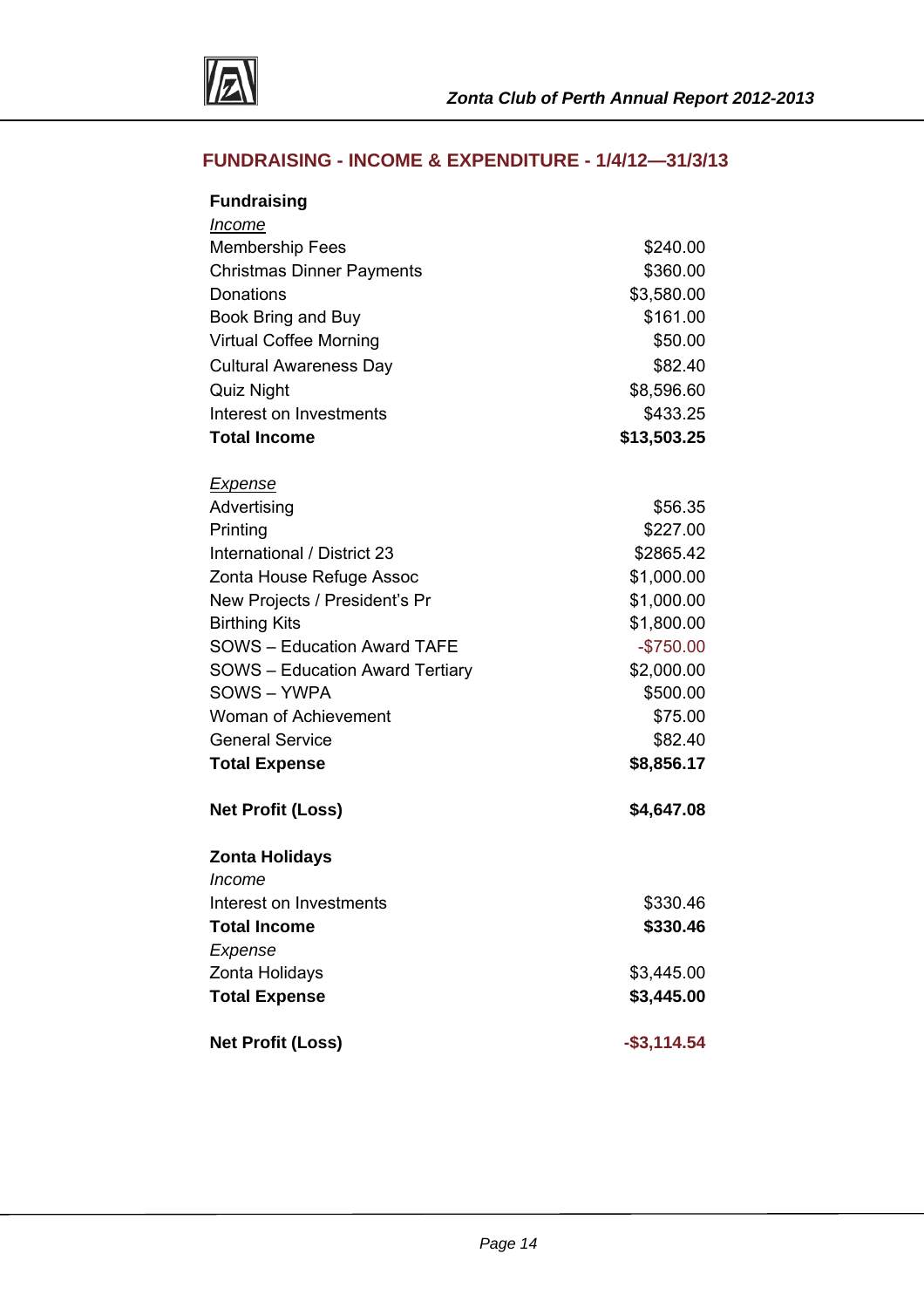

## **FUNDRAISING - INCOME & EXPENDITURE - 1/4/12—31/3/13**

| <b>Fundraising</b>                     |                |
|----------------------------------------|----------------|
| Income                                 |                |
| <b>Membership Fees</b>                 | \$240.00       |
| <b>Christmas Dinner Payments</b>       | \$360.00       |
| Donations                              | \$3,580.00     |
| Book Bring and Buy                     | \$161.00       |
| <b>Virtual Coffee Morning</b>          | \$50.00        |
| <b>Cultural Awareness Day</b>          | \$82.40        |
| Quiz Night                             | \$8,596.60     |
| Interest on Investments                | \$433.25       |
| <b>Total Income</b>                    | \$13,503.25    |
| <u>Expense</u>                         |                |
| Advertising                            | \$56.35        |
| Printing                               | \$227.00       |
| International / District 23            | \$2865.42      |
| Zonta House Refuge Assoc               | \$1,000.00     |
| New Projects / President's Pr          | \$1,000.00     |
| <b>Birthing Kits</b>                   | \$1,800.00     |
| <b>SOWS - Education Award TAFE</b>     | $-$750.00$     |
| <b>SOWS</b> – Education Award Tertiary | \$2,000.00     |
| SOWS-YWPA                              | \$500.00       |
| <b>Woman of Achievement</b>            | \$75.00        |
| <b>General Service</b>                 | \$82.40        |
| <b>Total Expense</b>                   | \$8,856.17     |
| <b>Net Profit (Loss)</b>               | \$4,647.08     |
| <b>Zonta Holidays</b>                  |                |
| Income                                 |                |
| Interest on Investments                | \$330.46       |
| <b>Total Income</b>                    | \$330.46       |
| Expense                                |                |
| Zonta Holidays                         | \$3,445.00     |
| <b>Total Expense</b>                   | \$3,445.00     |
| <b>Net Profit (Loss)</b>               | $-$ \$3,114.54 |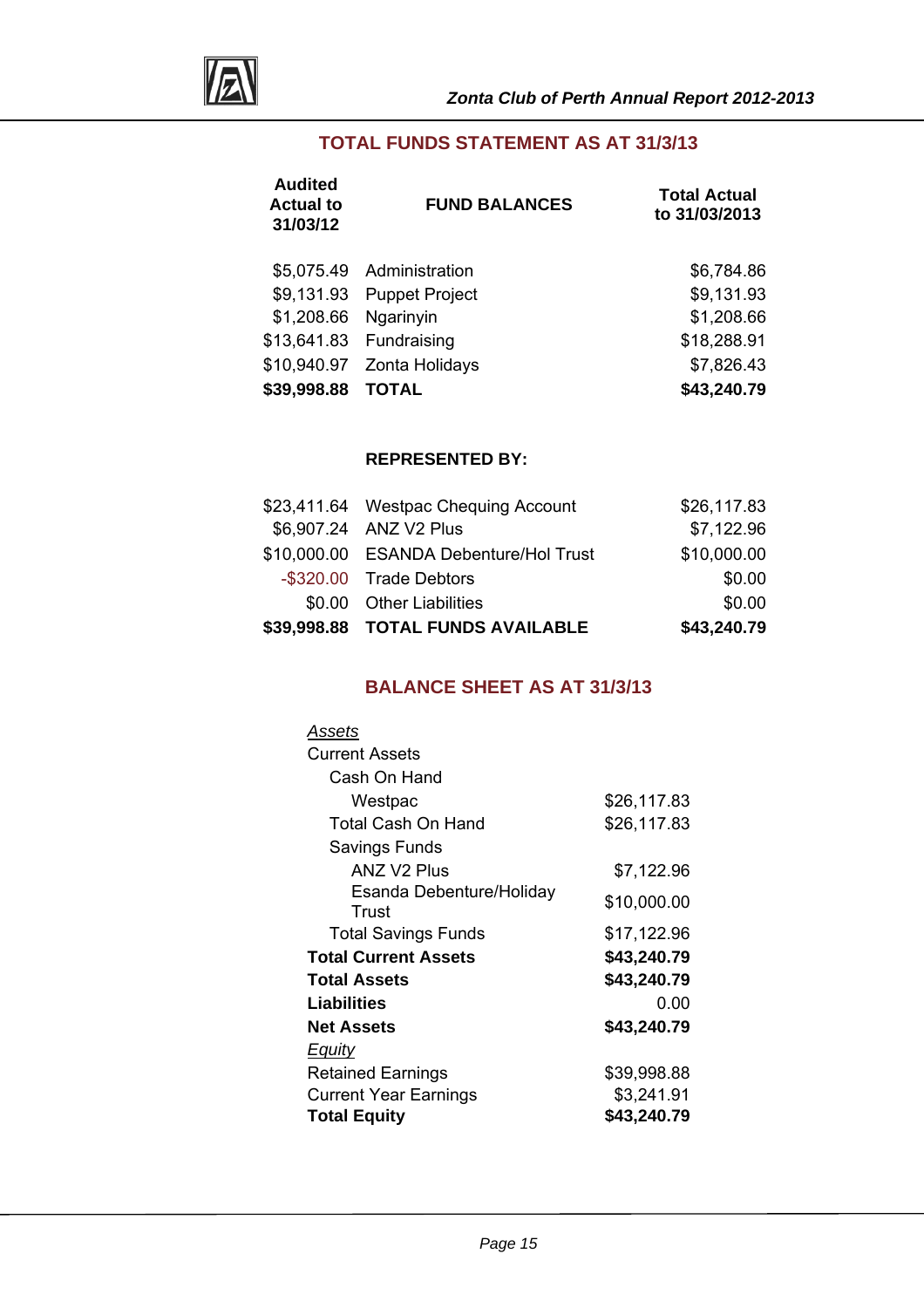

## **TOTAL FUNDS STATEMENT AS AT 31/3/13**

| <b>Audited</b><br><b>Actual to</b><br>31/03/12 | <b>FUND BALANCES</b>      | <b>Total Actual</b><br>to 31/03/2013 |
|------------------------------------------------|---------------------------|--------------------------------------|
|                                                | \$5,075.49 Administration | \$6,784.86                           |
|                                                | \$9,131.93 Puppet Project | \$9,131.93                           |
| \$1,208.66                                     | Ngarinyin                 | \$1,208.66                           |
|                                                | \$13,641.83 Fundraising   | \$18,288.91                          |
| \$10,940.97                                    | Zonta Holidays            | \$7,826.43                           |
| \$39,998.88                                    | <b>TOTAL</b>              | \$43,240.79                          |

#### **REPRESENTED BY:**

| \$39,998.88 TOTAL FUNDS AVAILABLE      | \$43,240.79 |
|----------------------------------------|-------------|
| \$0.00 Other Liabilities               | \$0.00      |
| -\$320.00 Trade Debtors                | \$0.00      |
| \$10,000.00 ESANDA Debenture/Hol Trust | \$10,000.00 |
| \$6,907.24 ANZ V2 Plus                 | \$7,122.96  |
| \$23,411.64 Westpac Chequing Account   | \$26,117.83 |

## **BALANCE SHEET AS AT 31/3/13**

| Assets                       |             |
|------------------------------|-------------|
| <b>Current Assets</b>        |             |
| Cash On Hand                 |             |
| Westpac                      | \$26,117.83 |
| Total Cash On Hand           | \$26,117.83 |
| Savings Funds                |             |
| <b>ANZ V2 Plus</b>           | \$7,122.96  |
| Esanda Debenture/Holiday     | \$10,000.00 |
| Trust                        |             |
| <b>Total Savings Funds</b>   | \$17,122.96 |
| <b>Total Current Assets</b>  | \$43,240.79 |
| <b>Total Assets</b>          | \$43,240.79 |
| Liabilities                  | 0.00        |
| <b>Net Assets</b>            | \$43,240.79 |
| <b>Equity</b>                |             |
| <b>Retained Earnings</b>     | \$39,998.88 |
| <b>Current Year Earnings</b> | \$3,241.91  |
| <b>Total Equity</b>          | \$43,240.79 |